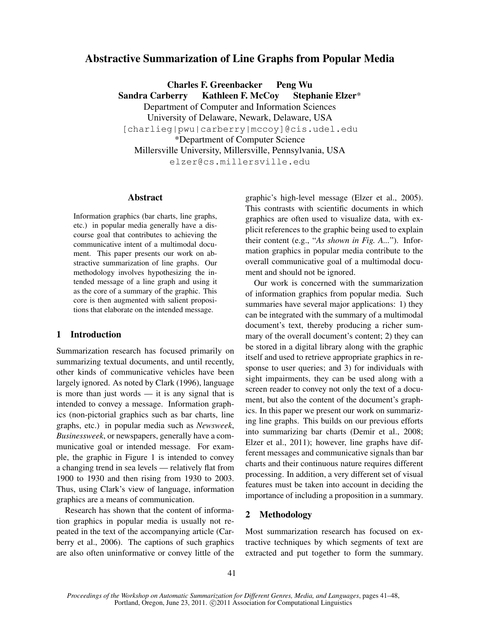# Abstractive Summarization of Line Graphs from Popular Media

Charles F. Greenbacker Peng Wu Sandra Carberry Kathleen F. McCoy Stephanie Elzer\* Department of Computer and Information Sciences University of Delaware, Newark, Delaware, USA [charlieg|pwu|carberry|mccoy]@cis.udel.edu \*Department of Computer Science Millersville University, Millersville, Pennsylvania, USA elzer@cs.millersville.edu

#### Abstract

Information graphics (bar charts, line graphs, etc.) in popular media generally have a discourse goal that contributes to achieving the communicative intent of a multimodal document. This paper presents our work on abstractive summarization of line graphs. Our methodology involves hypothesizing the intended message of a line graph and using it as the core of a summary of the graphic. This core is then augmented with salient propositions that elaborate on the intended message.

#### 1 Introduction

Summarization research has focused primarily on summarizing textual documents, and until recently, other kinds of communicative vehicles have been largely ignored. As noted by Clark (1996), language is more than just words  $-$  it is any signal that is intended to convey a message. Information graphics (non-pictorial graphics such as bar charts, line graphs, etc.) in popular media such as *Newsweek*, *Businessweek*, or newspapers, generally have a communicative goal or intended message. For example, the graphic in Figure 1 is intended to convey a changing trend in sea levels — relatively flat from 1900 to 1930 and then rising from 1930 to 2003. Thus, using Clark's view of language, information graphics are a means of communication.

Research has shown that the content of information graphics in popular media is usually not repeated in the text of the accompanying article (Carberry et al., 2006). The captions of such graphics are also often uninformative or convey little of the graphic's high-level message (Elzer et al., 2005). This contrasts with scientific documents in which graphics are often used to visualize data, with explicit references to the graphic being used to explain their content (e.g., "*As shown in Fig. A...*"). Information graphics in popular media contribute to the overall communicative goal of a multimodal document and should not be ignored.

Our work is concerned with the summarization of information graphics from popular media. Such summaries have several major applications: 1) they can be integrated with the summary of a multimodal document's text, thereby producing a richer summary of the overall document's content; 2) they can be stored in a digital library along with the graphic itself and used to retrieve appropriate graphics in response to user queries; and 3) for individuals with sight impairments, they can be used along with a screen reader to convey not only the text of a document, but also the content of the document's graphics. In this paper we present our work on summarizing line graphs. This builds on our previous efforts into summarizing bar charts (Demir et al., 2008; Elzer et al., 2011); however, line graphs have different messages and communicative signals than bar charts and their continuous nature requires different processing. In addition, a very different set of visual features must be taken into account in deciding the importance of including a proposition in a summary.

# 2 Methodology

Most summarization research has focused on extractive techniques by which segments of text are extracted and put together to form the summary.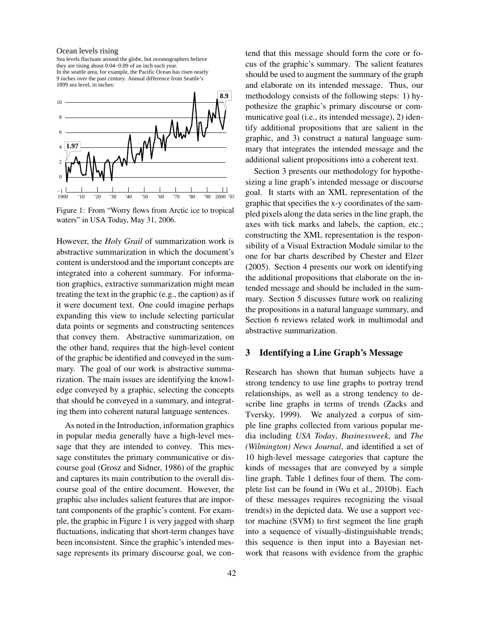#### Ocean levels rising

9 inches over the past century. Annual difference from Seattle's In the seattle area, for example, the Pacific Ocean has risen nearly they are rising about 0.04−0.09 of an inch each year. Sea levels fluctuate around the globe, but oceanographers believe 1899 sea level, in inches:



Figure 1: From "Worry flows from Arctic ice to tropical waters" in USA Today, May 31, 2006.

However, the *Holy Grail* of summarization work is abstractive summarization in which the document's content is understood and the important concepts are integrated into a coherent summary. For information graphics, extractive summarization might mean treating the text in the graphic (e.g., the caption) as if it were document text. One could imagine perhaps expanding this view to include selecting particular data points or segments and constructing sentences that convey them. Abstractive summarization, on the other hand, requires that the high-level content of the graphic be identified and conveyed in the summary. The goal of our work is abstractive summarization. The main issues are identifying the knowledge conveyed by a graphic, selecting the concepts that should be conveyed in a summary, and integrating them into coherent natural language sentences.

As noted in the Introduction, information graphics in popular media generally have a high-level message that they are intended to convey. This message constitutes the primary communicative or discourse goal (Grosz and Sidner, 1986) of the graphic and captures its main contribution to the overall discourse goal of the entire document. However, the graphic also includes salient features that are important components of the graphic's content. For example, the graphic in Figure 1 is very jagged with sharp fluctuations, indicating that short-term changes have been inconsistent. Since the graphic's intended message represents its primary discourse goal, we contend that this message should form the core or focus of the graphic's summary. The salient features should be used to augment the summary of the graph and elaborate on its intended message. Thus, our methodology consists of the following steps: 1) hypothesize the graphic's primary discourse or communicative goal (i.e., its intended message), 2) identify additional propositions that are salient in the graphic, and 3) construct a natural language summary that integrates the intended message and the additional salient propositions into a coherent text.

Section 3 presents our methodology for hypothesizing a line graph's intended message or discourse goal. It starts with an XML representation of the graphic that specifies the x-y coordinates of the sampled pixels along the data series in the line graph, the axes with tick marks and labels, the caption, etc.; constructing the XML representation is the responsibility of a Visual Extraction Module similar to the one for bar charts described by Chester and Elzer (2005). Section 4 presents our work on identifying the additional propositions that elaborate on the intended message and should be included in the summary. Section 5 discusses future work on realizing the propositions in a natural language summary, and Section 6 reviews related work in multimodal and abstractive summarization.

## 3 Identifying a Line Graph's Message

Research has shown that human subjects have a strong tendency to use line graphs to portray trend relationships, as well as a strong tendency to describe line graphs in terms of trends (Zacks and Tversky, 1999). We analyzed a corpus of simple line graphs collected from various popular media including *USA Today*, *Businessweek*, and *The (Wilmington) News Journal*, and identified a set of 10 high-level message categories that capture the kinds of messages that are conveyed by a simple line graph. Table 1 defines four of them. The complete list can be found in (Wu et al., 2010b). Each of these messages requires recognizing the visual trend(s) in the depicted data. We use a support vector machine (SVM) to first segment the line graph into a sequence of visually-distinguishable trends; this sequence is then input into a Bayesian network that reasons with evidence from the graphic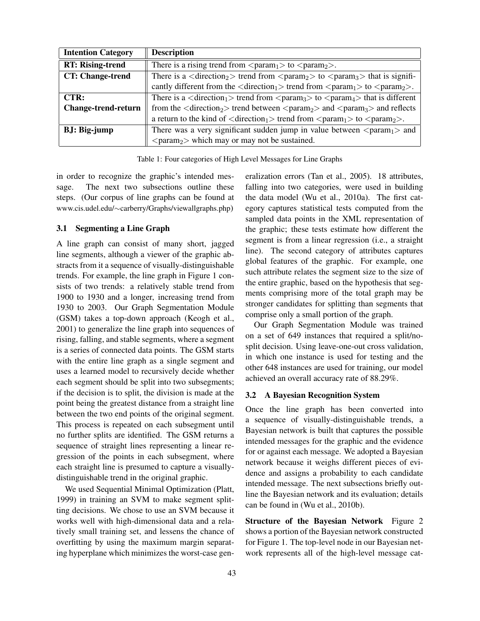| <b>Intention Category</b>  | <b>Description</b>                                                                                                                                |
|----------------------------|---------------------------------------------------------------------------------------------------------------------------------------------------|
| <b>RT: Rising-trend</b>    | There is a rising trend from $\langle$ param <sub>1</sub> $>$ to $\langle$ param <sub>2</sub> $>$ .                                               |
| CT: Change-trend           | There is a $\langle$ direction <sub>2</sub> $>$ trend from $\langle$ param <sub>2</sub> $>$ to $\langle$ param <sub>3</sub> $>$ that is signifi-  |
|                            | cantly different from the $\langle$ direction <sub>1</sub> $>$ trend from $\langle$ param <sub>1</sub> $>$ to $\langle$ param <sub>2</sub> $>$ .  |
| CTR:                       | There is a $\langle$ direction <sub>1</sub> $>$ trend from $\langle$ param <sub>3</sub> $>$ to $\langle$ param <sub>4</sub> $>$ that is different |
| <b>Change-trend-return</b> | from the $\langle$ direction <sub>2</sub> $>$ trend between $\langle$ param <sub>2</sub> $>$ and $\langle$ param <sub>3</sub> $>$ and reflects    |
|                            | a return to the kind of $\langle$ direction <sub>1</sub> $>$ trend from $\langle$ param <sub>1</sub> $>$ to $\langle$ param <sub>2</sub> $>$ .    |
| <b>BJ</b> : Big-jump       | There was a very significant sudden jump in value between $\langle$ param <sub>1</sub> $>$ and                                                    |
|                            | $\langle$ param <sub>2</sub> $>$ which may or may not be sustained.                                                                               |

Table 1: Four categories of High Level Messages for Line Graphs

in order to recognize the graphic's intended message. The next two subsections outline these steps. (Our corpus of line graphs can be found at www.cis.udel.edu/∼carberry/Graphs/viewallgraphs.php)

## 3.1 Segmenting a Line Graph

A line graph can consist of many short, jagged line segments, although a viewer of the graphic abstracts from it a sequence of visually-distinguishable trends. For example, the line graph in Figure 1 consists of two trends: a relatively stable trend from 1900 to 1930 and a longer, increasing trend from 1930 to 2003. Our Graph Segmentation Module (GSM) takes a top-down approach (Keogh et al., 2001) to generalize the line graph into sequences of rising, falling, and stable segments, where a segment is a series of connected data points. The GSM starts with the entire line graph as a single segment and uses a learned model to recursively decide whether each segment should be split into two subsegments; if the decision is to split, the division is made at the point being the greatest distance from a straight line between the two end points of the original segment. This process is repeated on each subsegment until no further splits are identified. The GSM returns a sequence of straight lines representing a linear regression of the points in each subsegment, where each straight line is presumed to capture a visuallydistinguishable trend in the original graphic.

We used Sequential Minimal Optimization (Platt, 1999) in training an SVM to make segment splitting decisions. We chose to use an SVM because it works well with high-dimensional data and a relatively small training set, and lessens the chance of overfitting by using the maximum margin separating hyperplane which minimizes the worst-case generalization errors (Tan et al., 2005). 18 attributes, falling into two categories, were used in building the data model (Wu et al., 2010a). The first category captures statistical tests computed from the sampled data points in the XML representation of the graphic; these tests estimate how different the segment is from a linear regression (i.e., a straight line). The second category of attributes captures global features of the graphic. For example, one such attribute relates the segment size to the size of the entire graphic, based on the hypothesis that segments comprising more of the total graph may be stronger candidates for splitting than segments that comprise only a small portion of the graph.

Our Graph Segmentation Module was trained on a set of 649 instances that required a split/nosplit decision. Using leave-one-out cross validation, in which one instance is used for testing and the other 648 instances are used for training, our model achieved an overall accuracy rate of 88.29%.

#### 3.2 A Bayesian Recognition System

Once the line graph has been converted into a sequence of visually-distinguishable trends, a Bayesian network is built that captures the possible intended messages for the graphic and the evidence for or against each message. We adopted a Bayesian network because it weighs different pieces of evidence and assigns a probability to each candidate intended message. The next subsections briefly outline the Bayesian network and its evaluation; details can be found in (Wu et al., 2010b).

Structure of the Bayesian Network Figure 2 shows a portion of the Bayesian network constructed for Figure 1. The top-level node in our Bayesian network represents all of the high-level message cat-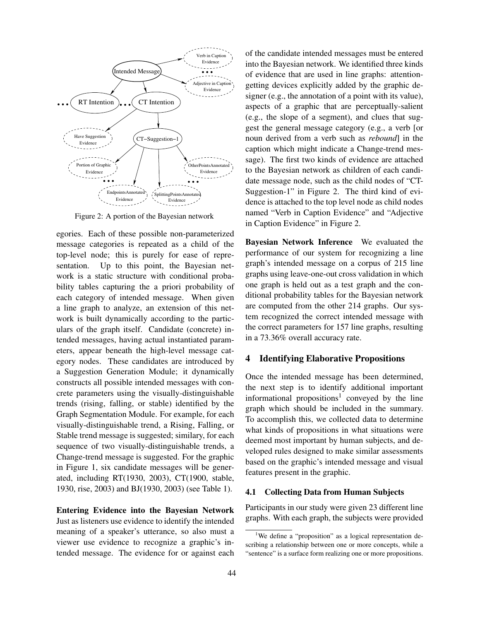

Figure 2: A portion of the Bayesian network

egories. Each of these possible non-parameterized message categories is repeated as a child of the top-level node; this is purely for ease of representation. Up to this point, the Bayesian network is a static structure with conditional probability tables capturing the a priori probability of each category of intended message. When given a line graph to analyze, an extension of this network is built dynamically according to the particulars of the graph itself. Candidate (concrete) intended messages, having actual instantiated parameters, appear beneath the high-level message category nodes. These candidates are introduced by a Suggestion Generation Module; it dynamically constructs all possible intended messages with concrete parameters using the visually-distinguishable trends (rising, falling, or stable) identified by the Graph Segmentation Module. For example, for each visually-distinguishable trend, a Rising, Falling, or Stable trend message is suggested; similary, for each sequence of two visually-distinguishable trends, a Change-trend message is suggested. For the graphic in Figure 1, six candidate messages will be generated, including RT(1930, 2003), CT(1900, stable, 1930, rise, 2003) and BJ(1930, 2003) (see Table 1).

Entering Evidence into the Bayesian Network Just as listeners use evidence to identify the intended meaning of a speaker's utterance, so also must a viewer use evidence to recognize a graphic's intended message. The evidence for or against each of the candidate intended messages must be entered into the Bayesian network. We identified three kinds of evidence that are used in line graphs: attentiongetting devices explicitly added by the graphic designer (e.g., the annotation of a point with its value), aspects of a graphic that are perceptually-salient (e.g., the slope of a segment), and clues that suggest the general message category (e.g., a verb [or noun derived from a verb such as *rebound*] in the caption which might indicate a Change-trend message). The first two kinds of evidence are attached to the Bayesian network as children of each candidate message node, such as the child nodes of "CT-Suggestion-1" in Figure 2. The third kind of evidence is attached to the top level node as child nodes named "Verb in Caption Evidence" and "Adjective in Caption Evidence" in Figure 2.

Bayesian Network Inference We evaluated the performance of our system for recognizing a line graph's intended message on a corpus of 215 line graphs using leave-one-out cross validation in which one graph is held out as a test graph and the conditional probability tables for the Bayesian network are computed from the other 214 graphs. Our system recognized the correct intended message with the correct parameters for 157 line graphs, resulting in a 73.36% overall accuracy rate.

# 4 Identifying Elaborative Propositions

Once the intended message has been determined, the next step is to identify additional important informational propositions<sup>1</sup> conveyed by the line graph which should be included in the summary. To accomplish this, we collected data to determine what kinds of propositions in what situations were deemed most important by human subjects, and developed rules designed to make similar assessments based on the graphic's intended message and visual features present in the graphic.

## 4.1 Collecting Data from Human Subjects

Participants in our study were given 23 different line graphs. With each graph, the subjects were provided

<sup>&</sup>lt;sup>1</sup>We define a "proposition" as a logical representation describing a relationship between one or more concepts, while a "sentence" is a surface form realizing one or more propositions.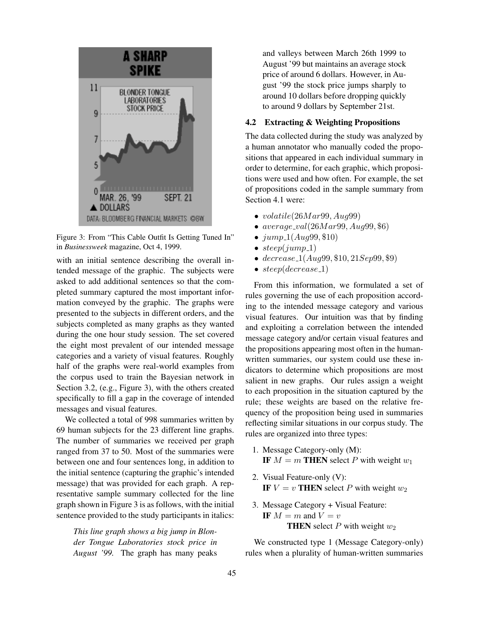

Figure 3: From "This Cable Outfit Is Getting Tuned In" in *Businessweek* magazine, Oct 4, 1999.

with an initial sentence describing the overall intended message of the graphic. The subjects were asked to add additional sentences so that the completed summary captured the most important information conveyed by the graphic. The graphs were presented to the subjects in different orders, and the subjects completed as many graphs as they wanted during the one hour study session. The set covered the eight most prevalent of our intended message categories and a variety of visual features. Roughly half of the graphs were real-world examples from the corpus used to train the Bayesian network in Section 3.2, (e.g., Figure 3), with the others created specifically to fill a gap in the coverage of intended messages and visual features.

We collected a total of 998 summaries written by 69 human subjects for the 23 different line graphs. The number of summaries we received per graph ranged from 37 to 50. Most of the summaries were between one and four sentences long, in addition to the initial sentence (capturing the graphic's intended message) that was provided for each graph. A representative sample summary collected for the line graph shown in Figure 3 is as follows, with the initial sentence provided to the study participants in italics:

*This line graph shows a big jump in Blonder Tongue Laboratories stock price in August '99.* The graph has many peaks and valleys between March 26th 1999 to August '99 but maintains an average stock price of around 6 dollars. However, in August '99 the stock price jumps sharply to around 10 dollars before dropping quickly to around 9 dollars by September 21st.

### 4.2 Extracting & Weighting Propositions

The data collected during the study was analyzed by a human annotator who manually coded the propositions that appeared in each individual summary in order to determine, for each graphic, which propositions were used and how often. For example, the set of propositions coded in the sample summary from Section 4.1 were:

- volatile $(26Mar99, Aug99)$
- $average\_val(26Mar99, Aug99, $6)$
- $jump_1(Aug99, \$10)$
- $steep(iump_1)$
- $decrease_1(Aug99, \$10, 21Sep99, \$9)$
- $steep(decrease_1)$

From this information, we formulated a set of rules governing the use of each proposition according to the intended message category and various visual features. Our intuition was that by finding and exploiting a correlation between the intended message category and/or certain visual features and the propositions appearing most often in the humanwritten summaries, our system could use these indicators to determine which propositions are most salient in new graphs. Our rules assign a weight to each proposition in the situation captured by the rule; these weights are based on the relative frequency of the proposition being used in summaries reflecting similar situations in our corpus study. The rules are organized into three types:

- 1. Message Category-only (M): IF  $M = m$  THEN select P with weight  $w_1$
- 2. Visual Feature-only (V): IF  $V = v$  THEN select P with weight  $w_2$
- 3. Message Category + Visual Feature: IF  $M = m$  and  $V = v$ **THEN** select  $P$  with weight  $w_2$

We constructed type 1 (Message Category-only) rules when a plurality of human-written summaries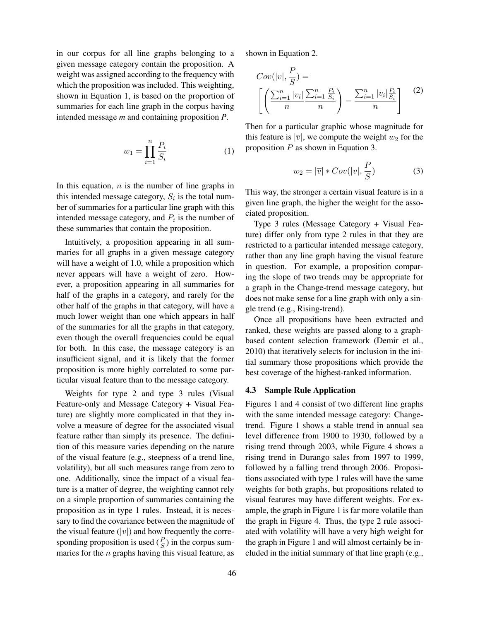in our corpus for all line graphs belonging to a given message category contain the proposition. A weight was assigned according to the frequency with which the proposition was included. This weighting, shown in Equation 1, is based on the proportion of summaries for each line graph in the corpus having intended message *m* and containing proposition *P*.

$$
w_1 = \prod_{i=1}^n \frac{P_i}{S_i} \tag{1}
$$

In this equation,  $n$  is the number of line graphs in this intended message category,  $S_i$  is the total number of summaries for a particular line graph with this intended message category, and  $P_i$  is the number of these summaries that contain the proposition.

Intuitively, a proposition appearing in all summaries for all graphs in a given message category will have a weight of 1.0, while a proposition which never appears will have a weight of zero. However, a proposition appearing in all summaries for half of the graphs in a category, and rarely for the other half of the graphs in that category, will have a much lower weight than one which appears in half of the summaries for all the graphs in that category, even though the overall frequencies could be equal for both. In this case, the message category is an insufficient signal, and it is likely that the former proposition is more highly correlated to some particular visual feature than to the message category.

Weights for type 2 and type 3 rules (Visual Feature-only and Message Category + Visual Feature) are slightly more complicated in that they involve a measure of degree for the associated visual feature rather than simply its presence. The definition of this measure varies depending on the nature of the visual feature (e.g., steepness of a trend line, volatility), but all such measures range from zero to one. Additionally, since the impact of a visual feature is a matter of degree, the weighting cannot rely on a simple proportion of summaries containing the proposition as in type 1 rules. Instead, it is necessary to find the covariance between the magnitude of the visual feature  $(|v|)$  and how frequently the corresponding proposition is used  $(\frac{P}{S})$  in the corpus summaries for the  $n$  graphs having this visual feature, as shown in Equation 2.

 $\overline{p}$ 

$$
Cov(|v|, \frac{P}{S}) = \left[ \left( \frac{\sum_{i=1}^{n} |v_i| \sum_{i=1}^{n} \frac{P_i}{S_i}}{n} \right) - \frac{\sum_{i=1}^{n} |v_i| \frac{P_i}{S_i}}{n} \right] \tag{2}
$$

Then for a particular graphic whose magnitude for this feature is  $|\overline{v}|$ , we compute the weight  $w_2$  for the proposition  $P$  as shown in Equation 3.

$$
w_2 = |\overline{v}| * Cov(|v|, \frac{P}{S})
$$
 (3)

This way, the stronger a certain visual feature is in a given line graph, the higher the weight for the associated proposition.

Type 3 rules (Message Category + Visual Feature) differ only from type 2 rules in that they are restricted to a particular intended message category, rather than any line graph having the visual feature in question. For example, a proposition comparing the slope of two trends may be appropriate for a graph in the Change-trend message category, but does not make sense for a line graph with only a single trend (e.g., Rising-trend).

Once all propositions have been extracted and ranked, these weights are passed along to a graphbased content selection framework (Demir et al., 2010) that iteratively selects for inclusion in the initial summary those propositions which provide the best coverage of the highest-ranked information.

#### 4.3 Sample Rule Application

Figures 1 and 4 consist of two different line graphs with the same intended message category: Changetrend. Figure 1 shows a stable trend in annual sea level difference from 1900 to 1930, followed by a rising trend through 2003, while Figure 4 shows a rising trend in Durango sales from 1997 to 1999, followed by a falling trend through 2006. Propositions associated with type 1 rules will have the same weights for both graphs, but propositions related to visual features may have different weights. For example, the graph in Figure 1 is far more volatile than the graph in Figure 4. Thus, the type 2 rule associated with volatility will have a very high weight for the graph in Figure 1 and will almost certainly be included in the initial summary of that line graph (e.g.,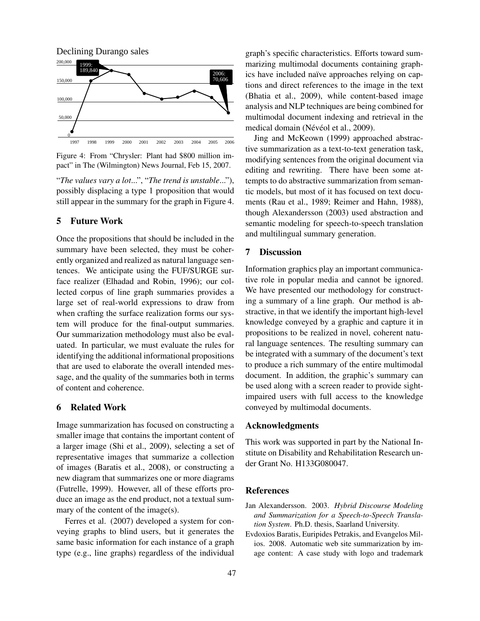

Figure 4: From "Chrysler: Plant had \$800 million impact" in The (Wilmington) News Journal, Feb 15, 2007.

"*The values vary a lot*...", "*The trend is unstable*..."), possibly displacing a type 1 proposition that would still appear in the summary for the graph in Figure 4.

# 5 Future Work

Once the propositions that should be included in the summary have been selected, they must be coherently organized and realized as natural language sentences. We anticipate using the FUF/SURGE surface realizer (Elhadad and Robin, 1996); our collected corpus of line graph summaries provides a large set of real-world expressions to draw from when crafting the surface realization forms our system will produce for the final-output summaries. Our summarization methodology must also be evaluated. In particular, we must evaluate the rules for identifying the additional informational propositions that are used to elaborate the overall intended message, and the quality of the summaries both in terms of content and coherence.

# 6 Related Work

Image summarization has focused on constructing a smaller image that contains the important content of a larger image (Shi et al., 2009), selecting a set of representative images that summarize a collection of images (Baratis et al., 2008), or constructing a new diagram that summarizes one or more diagrams (Futrelle, 1999). However, all of these efforts produce an image as the end product, not a textual summary of the content of the image(s).

Ferres et al. (2007) developed a system for conveying graphs to blind users, but it generates the same basic information for each instance of a graph type (e.g., line graphs) regardless of the individual graph's specific characteristics. Efforts toward summarizing multimodal documents containing graphics have included naïve approaches relying on captions and direct references to the image in the text (Bhatia et al., 2009), while content-based image analysis and NLP techniques are being combined for multimodal document indexing and retrieval in the medical domain (Névéol et al., 2009).

Jing and McKeown (1999) approached abstractive summarization as a text-to-text generation task, modifying sentences from the original document via editing and rewriting. There have been some attempts to do abstractive summarization from semantic models, but most of it has focused on text documents (Rau et al., 1989; Reimer and Hahn, 1988), though Alexandersson (2003) used abstraction and semantic modeling for speech-to-speech translation and multilingual summary generation.

# 7 Discussion

Information graphics play an important communicative role in popular media and cannot be ignored. We have presented our methodology for constructing a summary of a line graph. Our method is abstractive, in that we identify the important high-level knowledge conveyed by a graphic and capture it in propositions to be realized in novel, coherent natural language sentences. The resulting summary can be integrated with a summary of the document's text to produce a rich summary of the entire multimodal document. In addition, the graphic's summary can be used along with a screen reader to provide sightimpaired users with full access to the knowledge conveyed by multimodal documents.

#### Acknowledgments

This work was supported in part by the National Institute on Disability and Rehabilitation Research under Grant No. H133G080047.

## **References**

- Jan Alexandersson. 2003. *Hybrid Discourse Modeling and Summarization for a Speech-to-Speech Translation System*. Ph.D. thesis, Saarland University.
- Evdoxios Baratis, Euripides Petrakis, and Evangelos Milios. 2008. Automatic web site summarization by image content: A case study with logo and trademark